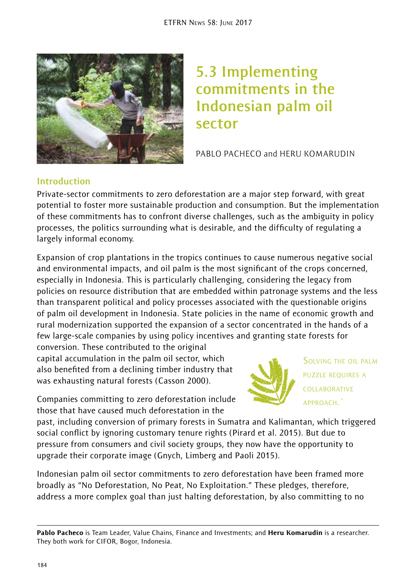

# **5.3 Implementing commitments in the Indonesian palm oil sector**

PABLO PACHECO and HERU KOMARUDIN

# **Introduction**

Private-sector commitments to zero deforestation are a major step forward, with great potential to foster more sustainable production and consumption. But the implementation of these commitments has to confront diverse challenges, such as the ambiguity in policy processes, the politics surrounding what is desirable, and the difficulty of regulating a largely informal economy.

Expansion of crop plantations in the tropics continues to cause numerous negative social and environmental impacts, and oil palm is the most significant of the crops concerned, especially in Indonesia. This is particularly challenging, considering the legacy from policies on resource distribution that are embedded within patronage systems and the less than transparent political and policy processes associated with the questionable origins of palm oil development in Indonesia. State policies in the name of economic growth and rural modernization supported the expansion of a sector concentrated in the hands of a few large-scale companies by using policy incentives and granting state forests for

conversion. These contributed to the original capital accumulation in the palm oil sector, which also benefited from a declining timber industry that was exhausting natural forests (Casson 2000).



SOLVING THE OIL PALM PUZZLE REQUIRES A COLLABORATIVE APPROACH.`

Companies committing to zero deforestation include those that have caused much deforestation in the

past, including conversion of primary forests in Sumatra and Kalimantan, which triggered social conflict by ignoring customary tenure rights (Pirard et al. 2015). But due to pressure from consumers and civil society groups, they now have the opportunity to upgrade their corporate image (Gnych, Limberg and Paoli 2015).

Indonesian palm oil sector commitments to zero deforestation have been framed more broadly as "No Deforestation, No Peat, No Exploitation." These pledges, therefore, address a more complex goal than just halting deforestation, by also committing to no

Pablo Pacheco is Team Leader, Value Chains, Finance and Investments; and Heru Komarudin is a researcher. They both work for CIFOR, Bogor, Indonesia.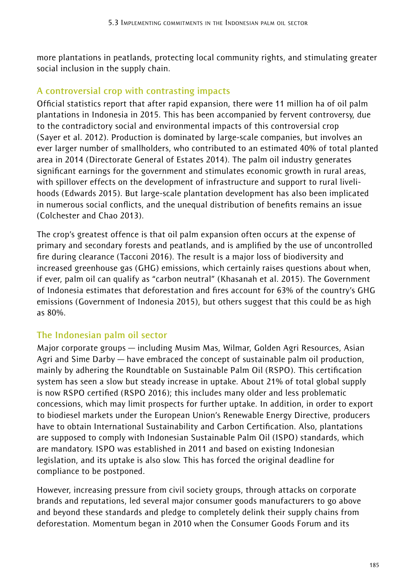more plantations in peatlands, protecting local community rights, and stimulating greater social inclusion in the supply chain.

#### **A controversial crop with contrasting impacts**

Official statistics report that after rapid expansion, there were 11 million ha of oil palm plantations in Indonesia in 2015. This has been accompanied by fervent controversy, due to the contradictory social and environmental impacts of this controversial crop (Sayer et al. 2012). Production is dominated by large-scale companies, but involves an ever larger number of smallholders, who contributed to an estimated 40% of total planted area in 2014 (Directorate General of Estates 2014). The palm oil industry generates significant earnings for the government and stimulates economic growth in rural areas, with spillover effects on the development of infrastructure and support to rural livelihoods (Edwards 2015). But large-scale plantation development has also been implicated in numerous social conflicts, and the unequal distribution of benefits remains an issue (Colchester and Chao 2013).

The crop's greatest offence is that oil palm expansion often occurs at the expense of primary and secondary forests and peatlands, and is amplified by the use of uncontrolled fire during clearance (Tacconi 2016). The result is a major loss of biodiversity and increased greenhouse gas (GHG) emissions, which certainly raises questions about when, if ever, palm oil can qualify as "carbon neutral" (Khasanah et al. 2015). The Government of Indonesia estimates that deforestation and fires account for 63% of the country's GHG emissions (Government of Indonesia 2015), but others suggest that this could be as high as 80%.

# **The Indonesian palm oil sector**

Major corporate groups — including Musim Mas, Wilmar, Golden Agri Resources, Asian Agri and Sime Darby — have embraced the concept of sustainable palm oil production, mainly by adhering the Roundtable on Sustainable Palm Oil (RSPO). This certification system has seen a slow but steady increase in uptake. About 21% of total global supply is now RSPO certified (RSPO 2016); this includes many older and less problematic concessions, which may limit prospects for further uptake. In addition, in order to export to biodiesel markets under the European Union's Renewable Energy Directive, producers have to obtain International Sustainability and Carbon Certification. Also, plantations are supposed to comply with Indonesian Sustainable Palm Oil (ISPO) standards, which are mandatory. ISPO was established in 2011 and based on existing Indonesian legislation, and its uptake is also slow. This has forced the original deadline for compliance to be postponed.

However, increasing pressure from civil society groups, through attacks on corporate brands and reputations, led several major consumer goods manufacturers to go above and beyond these standards and pledge to completely delink their supply chains from deforestation. Momentum began in 2010 when the Consumer Goods Forum and its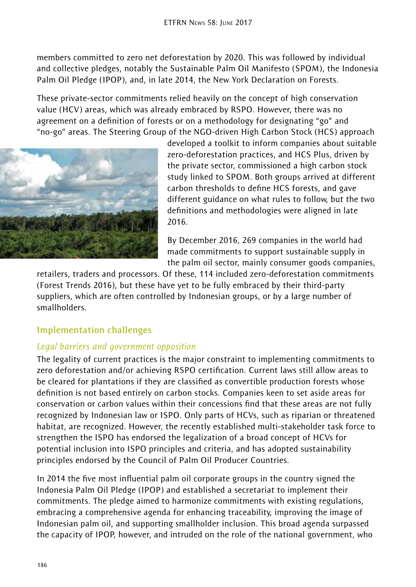members committed to zero net deforestation by 2020. This was followed by individual and collective pledges, notably the Sustainable Palm Oil Manifesto (SPOM), the Indonesia Palm Oil Pledge (IPOP), and, in late 2014, the New York Declaration on Forests.

These private-sector commitments relied heavily on the concept of high conservation value (HCV) areas, which was already embraced by RSPO. However, there was no agreement on a definition of forests or on a methodology for designating "go" and "no-go" areas. The Steering Group of the NGO-driven High Carbon Stock (HCS) approach



developed a toolkit to inform companies about suitable zero-deforestation practices, and HCS Plus, driven by the private sector, commissioned a high carbon stock study linked to SPOM. Both groups arrived at different carbon thresholds to define HCS forests, and gave different guidance on what rules to follow, but the two definitions and methodologies were aligned in late 2016.

By December 2016, 269 companies in the world had made commitments to support sustainable supply in the palm oil sector, mainly consumer goods companies,

retailers, traders and processors. Of these, 114 included zero-deforestation commitments (Forest Trends 2016), but these have yet to be fully embraced by their third-party suppliers, which are often controlled by Indonesian groups, or by a large number of smallholders.

# **Implementation challenges**

# *Legal barriers and government opposition*

The legality of current practices is the major constraint to implementing commitments to zero deforestation and/or achieving RSPO certification. Current laws still allow areas to be cleared for plantations if they are classified as convertible production forests whose definition is not based entirely on carbon stocks. Companies keen to set aside areas for conservation or carbon values within their concessions find that these areas are not fully recognized by Indonesian law or ISPO. Only parts of HCVs, such as riparian or threatened habitat, are recognized. However, the recently established multi-stakeholder task force to strengthen the ISPO has endorsed the legalization of a broad concept of HCVs for potential inclusion into ISPO principles and criteria, and has adopted sustainability principles endorsed by the Council of Palm Oil Producer Countries.

In 2014 the five most influential palm oil corporate groups in the country signed the Indonesia Palm Oil Pledge (IPOP) and established a secretariat to implement their commitments. The pledge aimed to harmonize commitments with existing regulations, embracing a comprehensive agenda for enhancing traceability, improving the image of Indonesian palm oil, and supporting smallholder inclusion. This broad agenda surpassed the capacity of IPOP, however, and intruded on the role of the national government, who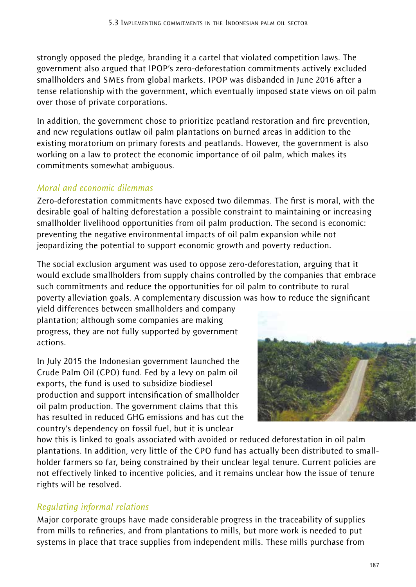strongly opposed the pledge, branding it a cartel that violated competition laws. The government also argued that IPOP's zero-deforestation commitments actively excluded smallholders and SMEs from global markets. IPOP was disbanded in June 2016 after a tense relationship with the government, which eventually imposed state views on oil palm over those of private corporations.

In addition, the government chose to prioritize peatland restoration and fire prevention, and new regulations outlaw oil palm plantations on burned areas in addition to the existing moratorium on primary forests and peatlands. However, the government is also working on a law to protect the economic importance of oil palm, which makes its commitments somewhat ambiguous.

#### *Moral and economic dilemmas*

Zero-deforestation commitments have exposed two dilemmas. The first is moral, with the desirable goal of halting deforestation a possible constraint to maintaining or increasing smallholder livelihood opportunities from oil palm production. The second is economic: preventing the negative environmental impacts of oil palm expansion while not jeopardizing the potential to support economic growth and poverty reduction.

The social exclusion argument was used to oppose zero-deforestation, arguing that it would exclude smallholders from supply chains controlled by the companies that embrace such commitments and reduce the opportunities for oil palm to contribute to rural poverty alleviation goals. A complementary discussion was how to reduce the significant

yield differences between smallholders and company plantation; although some companies are making progress, they are not fully supported by government actions.

In July 2015 the Indonesian government launched the Crude Palm Oil (CPO) fund. Fed by a levy on palm oil exports, the fund is used to subsidize biodiesel production and support intensification of smallholder oil palm production. The government claims that this has resulted in reduced GHG emissions and has cut the country's dependency on fossil fuel, but it is unclear



how this is linked to goals associated with avoided or reduced deforestation in oil palm plantations. In addition, very little of the CPO fund has actually been distributed to smallholder farmers so far, being constrained by their unclear legal tenure. Current policies are not effectively linked to incentive policies, and it remains unclear how the issue of tenure rights will be resolved.

# *Regulating informal relations*

Major corporate groups have made considerable progress in the traceability of supplies from mills to refineries, and from plantations to mills, but more work is needed to put systems in place that trace supplies from independent mills. These mills purchase from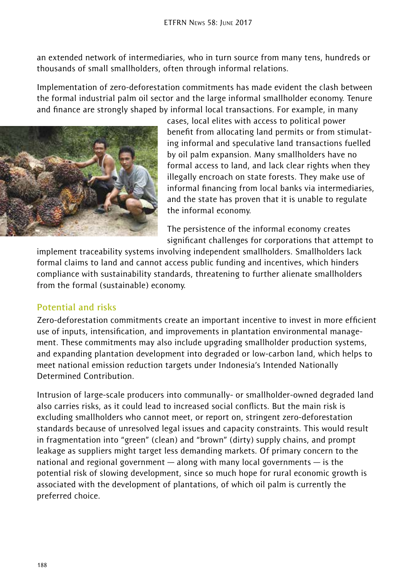an extended network of intermediaries, who in turn source from many tens, hundreds or thousands of small smallholders, often through informal relations.

Implementation of zero-deforestation commitments has made evident the clash between the formal industrial palm oil sector and the large informal smallholder economy. Tenure and finance are strongly shaped by informal local transactions. For example, in many



cases, local elites with access to political power benefit from allocating land permits or from stimulating informal and speculative land transactions fuelled by oil palm expansion. Many smallholders have no formal access to land, and lack clear rights when they illegally encroach on state forests. They make use of informal financing from local banks via intermediaries, and the state has proven that it is unable to regulate the informal economy.

The persistence of the informal economy creates significant challenges for corporations that attempt to

implement traceability systems involving independent smallholders. Smallholders lack formal claims to land and cannot access public funding and incentives, which hinders compliance with sustainability standards, threatening to further alienate smallholders from the formal (sustainable) economy.

#### **Potential and risks**

Zero-deforestation commitments create an important incentive to invest in more efficient use of inputs, intensification, and improvements in plantation environmental management. These commitments may also include upgrading smallholder production systems, and expanding plantation development into degraded or low-carbon land, which helps to meet national emission reduction targets under Indonesia's Intended Nationally Determined Contribution.

Intrusion of large-scale producers into communally- or smallholder-owned degraded land also carries risks, as it could lead to increased social conflicts. But the main risk is excluding smallholders who cannot meet, or report on, stringent zero-deforestation standards because of unresolved legal issues and capacity constraints. This would result in fragmentation into "green" (clean) and "brown" (dirty) supply chains, and prompt leakage as suppliers might target less demanding markets. Of primary concern to the national and regional government — along with many local governments — is the potential risk of slowing development, since so much hope for rural economic growth is associated with the development of plantations, of which oil palm is currently the preferred choice.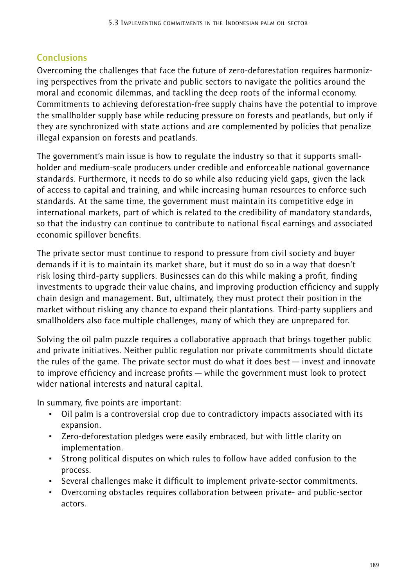# **Conclusions**

Overcoming the challenges that face the future of zero-deforestation requires harmonizing perspectives from the private and public sectors to navigate the politics around the moral and economic dilemmas, and tackling the deep roots of the informal economy. Commitments to achieving deforestation-free supply chains have the potential to improve the smallholder supply base while reducing pressure on forests and peatlands, but only if they are synchronized with state actions and are complemented by policies that penalize illegal expansion on forests and peatlands.

The government's main issue is how to regulate the industry so that it supports smallholder and medium-scale producers under credible and enforceable national governance standards. Furthermore, it needs to do so while also reducing yield gaps, given the lack of access to capital and training, and while increasing human resources to enforce such standards. At the same time, the government must maintain its competitive edge in international markets, part of which is related to the credibility of mandatory standards, so that the industry can continue to contribute to national fiscal earnings and associated economic spillover benefits.

The private sector must continue to respond to pressure from civil society and buyer demands if it is to maintain its market share, but it must do so in a way that doesn't risk losing third-party suppliers. Businesses can do this while making a profit, finding investments to upgrade their value chains, and improving production efficiency and supply chain design and management. But, ultimately, they must protect their position in the market without risking any chance to expand their plantations. Third-party suppliers and smallholders also face multiple challenges, many of which they are unprepared for.

Solving the oil palm puzzle requires a collaborative approach that brings together public and private initiatives. Neither public regulation nor private commitments should dictate the rules of the game. The private sector must do what it does best — invest and innovate to improve efficiency and increase profits — while the government must look to protect wider national interests and natural capital.

In summary, five points are important:

- ~ Oil palm is a controversial crop due to contradictory impacts associated with its expansion.
- ~ Zero-deforestation pledges were easily embraced, but with little clarity on implementation.
- ~ Strong political disputes on which rules to follow have added confusion to the process.
- ~ Several challenges make it difficult to implement private-sector commitments.
- ~ Overcoming obstacles requires collaboration between private- and public-sector actors.